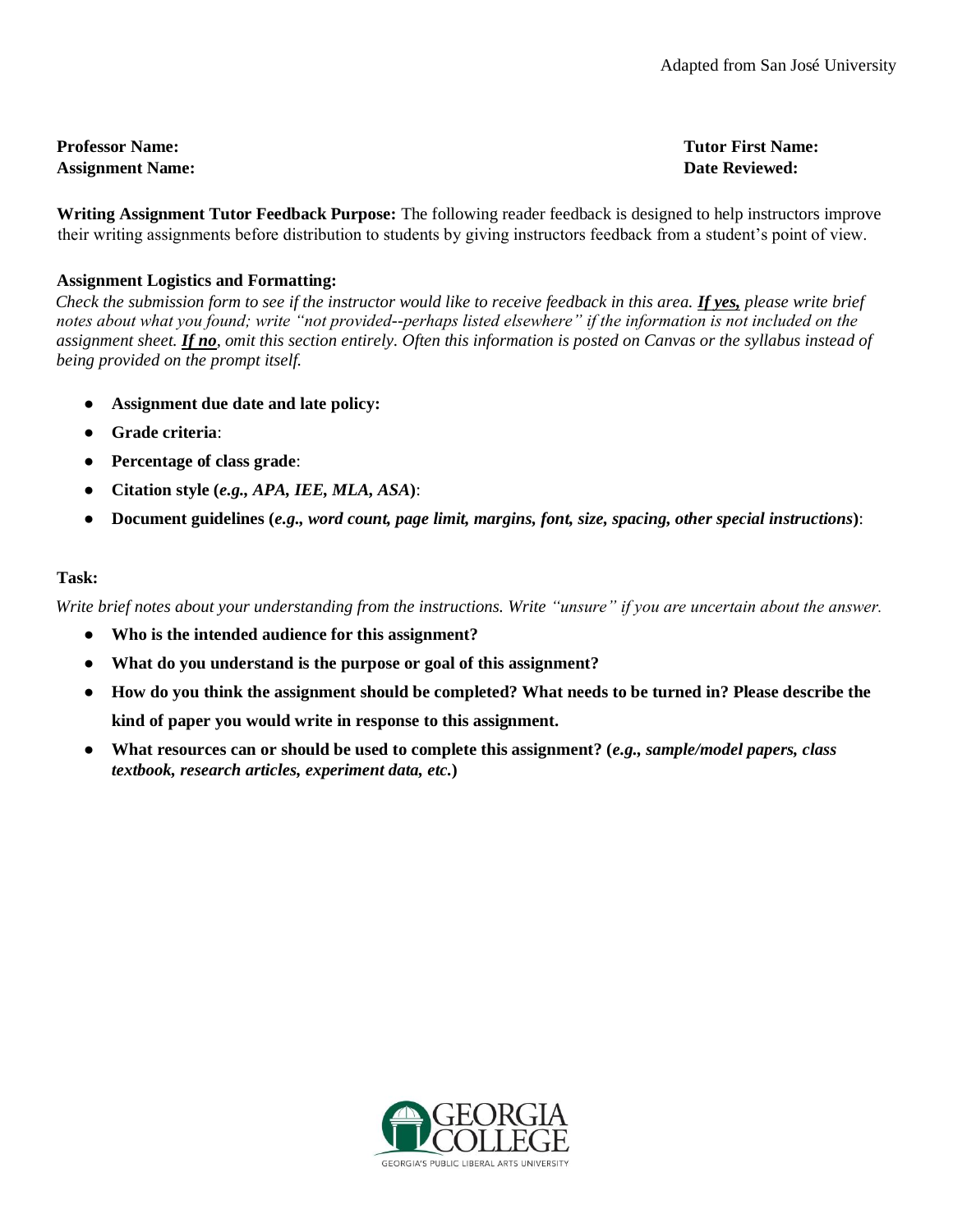## **Professor Name: Tutor First Name: Assignment Name: Date Reviewed:**

**Writing Assignment Tutor Feedback Purpose:** The following reader feedback is designed to help instructors improve their writing assignments before distribution to students by giving instructors feedback from a student's point of view.

## **Assignment Logistics and Formatting:**

*Check the submission form to see if the instructor would like to receive feedback in this area. If yes, please write brief notes about what you found; write "not provided--perhaps listed elsewhere" if the information is not included on the assignment sheet. If no, omit this section entirely. Often this information is posted on Canvas or the syllabus instead of being provided on the prompt itself.* 

- Assignment due date and late policy:
- **Grade criteria**:
- **Percentage of class grade**:
- **Citation style (***e.g., APA, IEE, MLA, ASA***)**:
- **Document guidelines (***e.g., word count, page limit, margins, font, size, spacing, other special instructions***)**:

# **Task:**

*Write brief notes about your understanding from the instructions. Write "unsure" if you are uncertain about the answer.* 

- **Who is the intended audience for this assignment?**
- **What do you understand is the purpose or goal of this assignment?**
- **How do you think the assignment should be completed? What needs to be turned in? Please describe the kind of paper you would write in response to this assignment.**
- **What resources can or should be used to complete this assignment? (***e.g., sample/model papers, class textbook, research articles, experiment data, etc.***)**